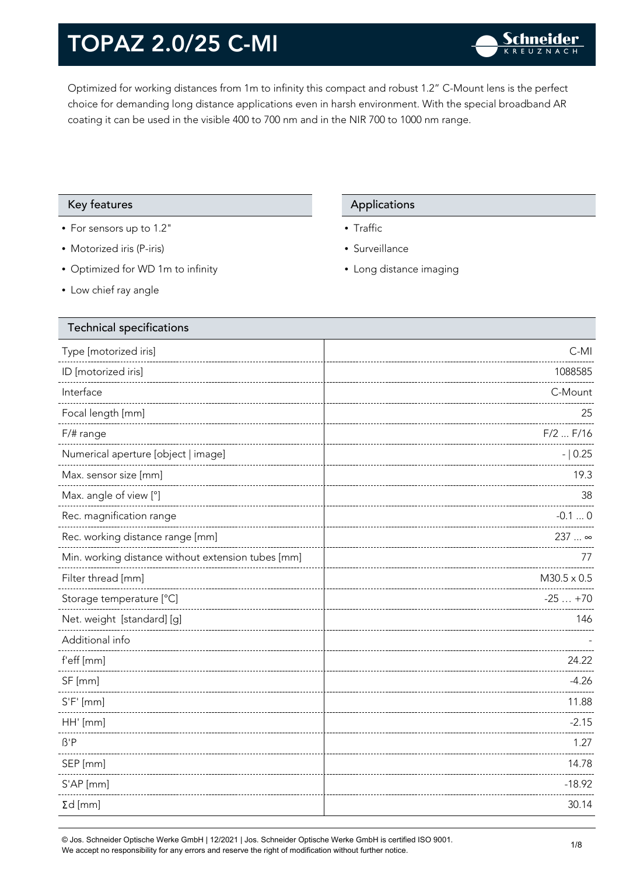Optimized for working distances from 1m to infinity this compact and robust 1.2" C-Mount lens is the perfect choice for demanding long distance applications even in harsh environment. With the special broadband AR coating it can be used in the visible 400 to 700 nm and in the NIR 700 to 1000 nm range.

### Key features **Applications** Applications

- For sensors up to 1.2"
- Motorized iris (P-iris)
- Optimized for WD 1m to infinity
- Low chief ray angle

- Traffic
- Surveillance
- Long distance imaging

| <b>Technical specifications</b>                    |                    |
|----------------------------------------------------|--------------------|
| Type [motorized iris]                              | $C-MI$             |
| ID [motorized iris]                                | 1088585            |
| Interface                                          | C-Mount            |
| Focal length [mm]                                  | 25                 |
| F/# range                                          | $F/2$ $F/16$       |
| Numerical aperture [object   image]                | $- 0.25$           |
| Max. sensor size [mm]                              | 19.3               |
| Max. angle of view [°]                             | 38                 |
| Rec. magnification range                           | $-0.10$            |
| Rec. working distance range [mm]                   | 237  ∞             |
| Min. working distance without extension tubes [mm] | 77                 |
| Filter thread [mm]                                 | $M30.5 \times 0.5$ |
| Storage temperature [°C]                           | $-25+70$           |
| Net. weight [standard] [g]                         | 146                |
| Additional info                                    |                    |
| f'eff [mm]                                         | 24.22              |
| SF [mm]                                            | $-4.26$            |
| $S'F'$ [mm]                                        | 11.88              |
| HH' [mm]                                           | $-2.15$            |
| $\beta$ 'P                                         | 1.27               |
| SEP [mm]                                           | 14.78              |
| S'AP [mm]                                          | $-18.92$           |
| $\Sigma d$ [mm]                                    | 30.14              |
|                                                    |                    |

© Jos. Schneider Optische Werke GmbH | 12/2021 | Jos. Schneider Optische Werke GmbH is certified ISO 9001. We accept no responsibility for any errors and reserve the right of modification without further notice.<br>We accept no responsibility for any errors and reserve the right of modification without further notice.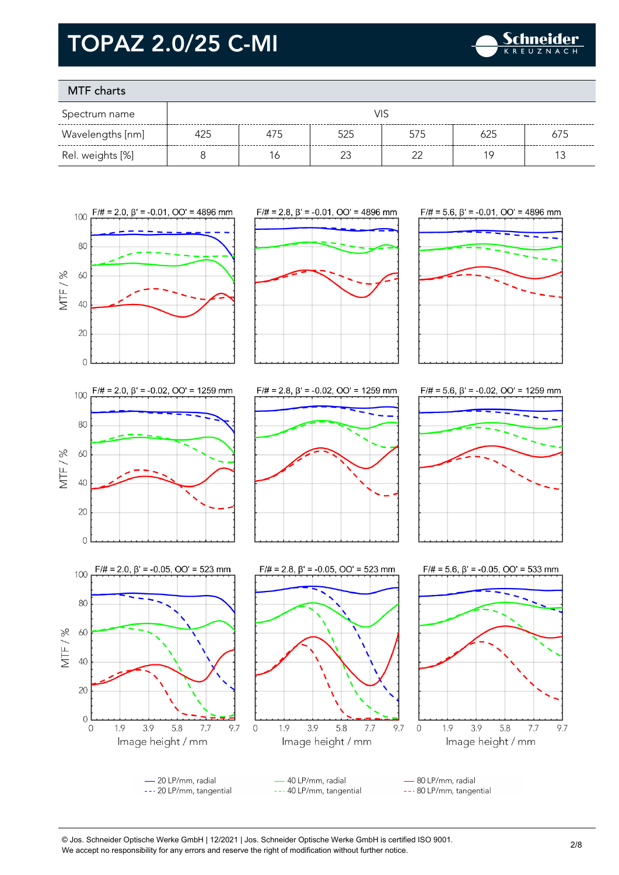

### MTF charts

| Spectrum name    |     |     |     |     |     |     |
|------------------|-----|-----|-----|-----|-----|-----|
| Wavelengths [nm] | 425 | 475 | 525 | 575 | 625 | 675 |
| Rel. weights [%] |     | ĥ   |     | ົ   | 1 C |     |









 $\overline{0}$ 

100

80

60

40

20

 $\overline{0}$ 

 $\overline{0}$ 

1.9

3.9

Image height / mm

5.8

 $7.7$ 

MTF/%









- 20 LP/mm, radial 40 LP/mm, radial 80 LP/mm, radial --- 20 LP/mm, tangential --- 40 LP/mm, tangential --- 80 LP/mm, tangential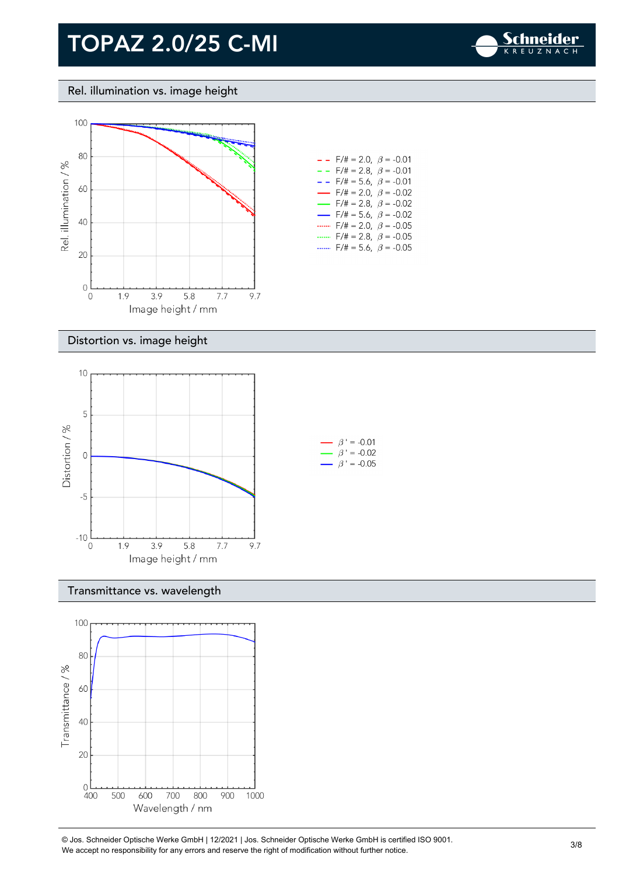

### Rel. illumination vs. image height



| - -                      | $F/\ddot{}=2.0,~\beta$ = -0.01          |  |
|--------------------------|-----------------------------------------|--|
| $- -$                    | $F/\ddot{}=2.8,~\beta = -0.01$          |  |
| - -                      | $F/\ddot{=} = 5.6, \ \beta = -0.01$     |  |
| $\overline{\phantom{0}}$ | $F/\ddot{}=2.0,~\beta$ = -0.02          |  |
| $\overline{\phantom{0}}$ | $F/\ddot{\pi} = 2.8, \ \ \beta = -0.02$ |  |
| $\overline{\phantom{a}}$ | $F/\ddot{\pi} = 5.6, \ \ \beta = -0.02$ |  |
|                          | $F/\ddot{\pi} = 2.0, \ \ \beta = -0.05$ |  |
|                          | $F/\ddot{=} = 2.8, \ \ \beta = -0.05$   |  |
|                          | $F/\ddot{\pi} = 5.6, \ \ \beta = -0.05$ |  |

#### Distortion vs. image height



#### Transmittance vs. wavelength



© Jos. Schneider Optische Werke GmbH | 12/2021 | Jos. Schneider Optische Werke GmbH is certified ISO 9001. We Jos. Scrinelaer Opuscrie werke GribH | 12/2021 | Jos. Scrinelaer Opuscrie werke GribH is certified ISO 9001.<br>We accept no responsibility for any errors and reserve the right of modification without further notice.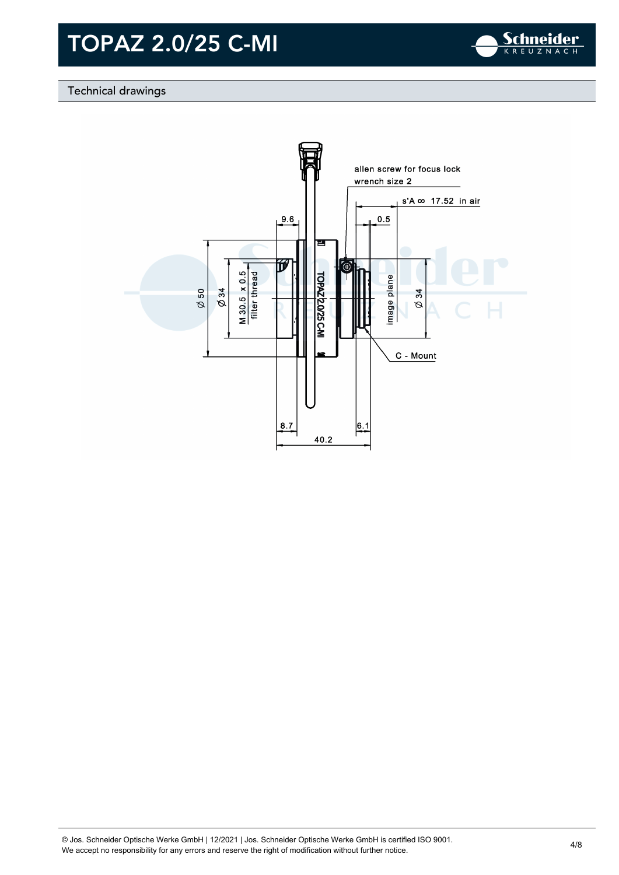

### Technical drawings

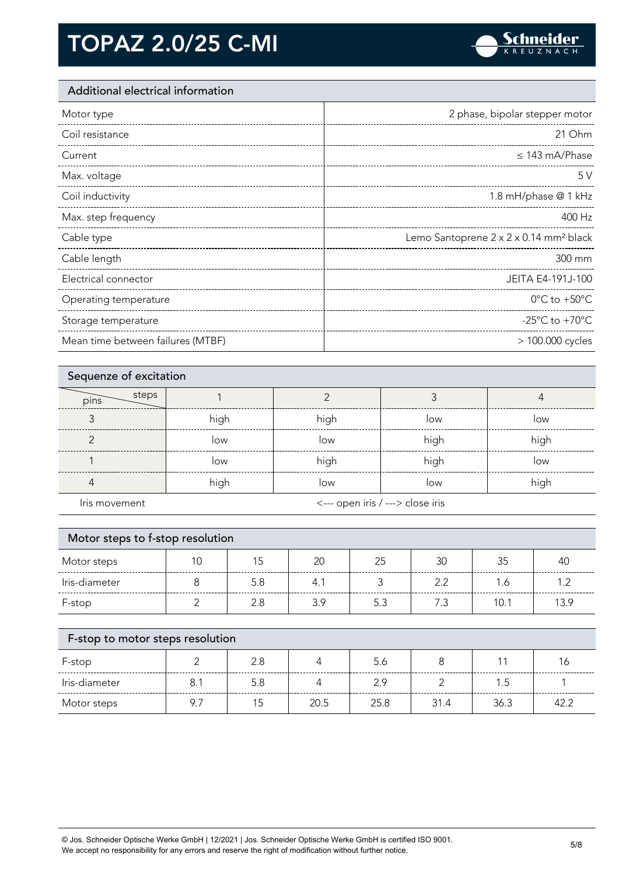

### Additional electrical information

| Motor type            | 2 phase, bipolar stepper motor                     |
|-----------------------|----------------------------------------------------|
| Coil resistance       | 21 Ohm                                             |
| Current               | $\leq$ 143 mA/Phase                                |
| Max. voltage          | 5V                                                 |
| Coil inductivity      | 1.8 mH/phase @ 1 kHz                               |
| Max. step frequency   | 400 Hz                                             |
|                       |                                                    |
| Cable type            | Lemo Santoprene 2 x 2 x 0.14 mm <sup>2</sup> black |
| Cable length          | 300 mm                                             |
| Electrical connector  | JEITA E4-191J-100                                  |
| Operating temperature | $0^{\circ}$ C to +50 $^{\circ}$ C                  |
| Storage temperature   | -25 $^{\circ}$ C to +70 $^{\circ}$ C               |

| Sequenze of excitation |      |                                  |      |      |
|------------------------|------|----------------------------------|------|------|
| steps<br>pins          |      |                                  |      |      |
|                        | high | high                             | low  | low  |
|                        | low  | low                              | high | high |
|                        | low  | high                             | high | low  |
|                        | high | low                              | low  | high |
| Iris movement          |      | <--- open iris / ---> close iris |      |      |

| Motor steps to f-stop resolution |          |          |           |                 |          |      |                |
|----------------------------------|----------|----------|-----------|-----------------|----------|------|----------------|
| Motor steps                      | 10       | 15       | 20        | 25              | 30       | 35   | 40             |
| Iris-diameter                    | 8        | 5.8      | 4.1       | 3               | 2.2      | 1.6  | 1.2            |
| F-stop                           | ⌒        | 2.8      | 3.9       | 5.3             | 7.3      | 10.1 | 13.9           |
|                                  |          |          |           |                 |          |      |                |
| F-stop to motor steps resolution |          |          |           |                 |          |      |                |
| $\Gamma$ . $\Gamma$              | $\Omega$ | $\Omega$ | $\Lambda$ | $\Gamma$ $\ell$ | $\Omega$ | 11   | 1 <sub>L</sub> |

| F-stop        |     |      | 5.6  |      |      |    |
|---------------|-----|------|------|------|------|----|
| Iris-diameter | 5.8 |      | റ റ  |      |      |    |
| Motor steps   |     | 20.5 | 25.8 | 31.4 | 36.3 | A2 |

© Jos. Schneider Optische Werke GmbH | 12/2021 | Jos. Schneider Optische Werke GmbH is certified ISO 9001. We accept no responsibility for any errors and reserve the right of modification without further notice. 5/8<br>We accept no responsibility for any errors and reserve the right of modification without further notice.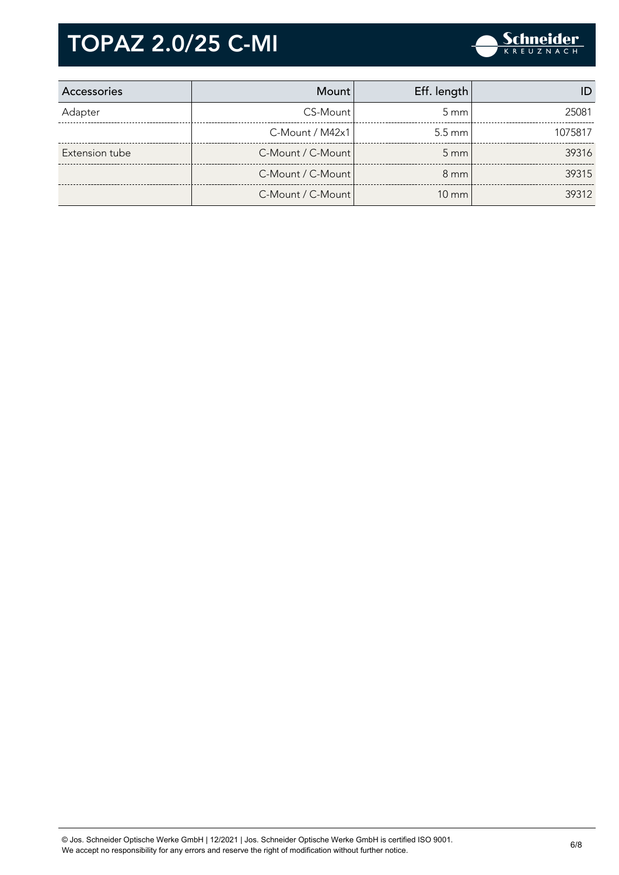

| Accessories    | Mount                 | Eff. length      |         |
|----------------|-----------------------|------------------|---------|
| Adapter        | CS-Mount              | $5 \text{ mm}$   | 25081   |
|                | $C-M$ ount / M42 $x1$ | $5.5 \text{ mm}$ | 1075817 |
| Extension tube | C-Mount / C-Mount     | $5 \, \text{mm}$ | 39316   |
|                | C-Mount / C-Mount     | $8 \text{ mm}$   | 39315   |
|                | C-Mount / C-Mount     | $10 \text{ mm}$  | 39312   |